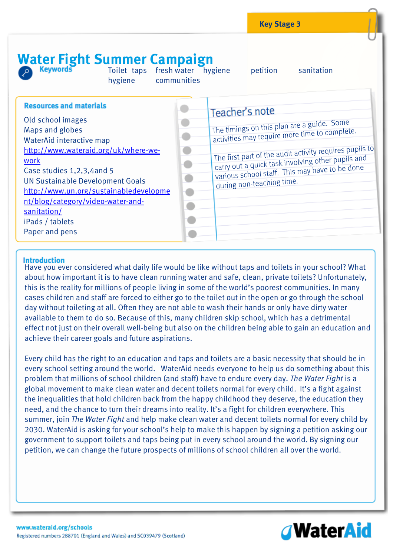# Water Fight Summer Campaign

Toilet taps fresh water hygiene petition sanitation hygiene communities

| <b>Resources and materials</b><br>Old school images<br>Maps and globes<br>WaterAid interactive map<br>http://www.wateraid.org/uk/where-we-<br>work<br>Case studies 1,2,3,4 and 5<br><b>UN Sustainable Development Goals</b><br>http://www.un.org/sustainabledevelopme<br>nt/blog/category/video-water-and-<br>sanitation/<br>iPads / tablets<br>Paper and pens | Teacher's note<br>The timings on this plan are a guide. Some<br>$^{\prime}$ activities may require more time to complete.<br>The first part of the audit activity requires pupils to<br>carry out a quick task involving other pupils and<br>various school staff. This may have to be done<br>during non-teaching time. |
|----------------------------------------------------------------------------------------------------------------------------------------------------------------------------------------------------------------------------------------------------------------------------------------------------------------------------------------------------------------|--------------------------------------------------------------------------------------------------------------------------------------------------------------------------------------------------------------------------------------------------------------------------------------------------------------------------|
|----------------------------------------------------------------------------------------------------------------------------------------------------------------------------------------------------------------------------------------------------------------------------------------------------------------------------------------------------------------|--------------------------------------------------------------------------------------------------------------------------------------------------------------------------------------------------------------------------------------------------------------------------------------------------------------------------|

## **Introduction**

Have you ever considered what daily life would be like without taps and toilets in your school? What about how important it is to have clean running water and safe, clean, private toilets? Unfortunately, this is the reality for millions of people living in some of the world's poorest communities. In many cases children and staff are forced to either go to the toilet out in the open or go through the school day without toileting at all. Often they are not able to wash their hands or only have dirty water available to them to do so. Because of this, many children skip school, which has a detrimental effect not just on their overall well-being but also on the children being able to gain an education and achieve their career goals and future aspirations.

Every child has the right to an education and taps and toilets are a basic necessity that should be in every school setting around the world. WaterAid needs everyone to help us do something about this problem that millions of school children (and staff) have to endure every day. *The Water Fight* is a global movement to make clean water and decent toilets normal for every child. It's a fight against the inequalities that hold children back from the happy childhood they deserve, the education they need, and the chance to turn their dreams into reality. It's a fight for children everywhere. This summer, join *The Water Fight* and help make clean water and decent toilets normal for every child by 2030. WaterAid is asking for your school's help to make this happen by signing a petition asking our government to support toilets and taps being put in every school around the world. By signing our petition, we can change the future prospects of millions of school children all over the world.

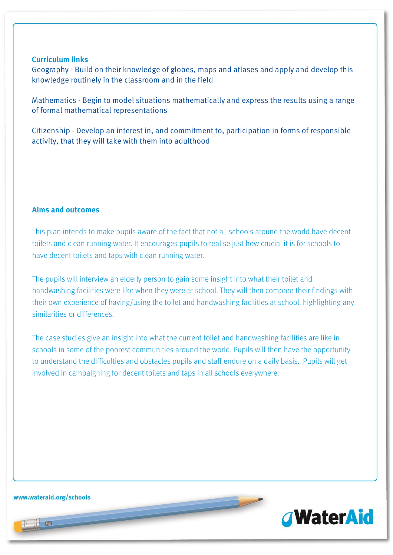### **Curriculum links**

Geography - Build on their knowledge of globes, maps and atlases and apply and develop this knowledge routinely in the classroom and in the field

Mathematics - Begin to model situations mathematically and express the results using a range of formal mathematical representations

Citizenship - Develop an interest in, and commitment to, participation in forms of responsible activity, that they will take with them into adulthood

# **Aims and outcomes**

This plan intends to make pupils aware of the fact that not all schools around the world have decent toilets and clean running water. It encourages pupils to realise just how crucial it is for schools to have decent toilets and taps with clean running water.

The pupils will interview an elderly person to gain some insight into what their toilet and handwashing facilities were like when they were at school. They will then compare their findings with their own experience of having/using the toilet and handwashing facilities at school, highlighting any similarities or differences.

The case studies give an insight into what the current toilet and handwashing facilities are like in schools in some of the poorest communities around the world. Pupils will then have the opportunity to understand the difficulties and obstacles pupils and staff endure on a daily basis. Pupils will get involved in campaigning for decent toilets and taps in all schools everywhere.

www.wateraid.org/schools

 $\frac{1}{2}$ 

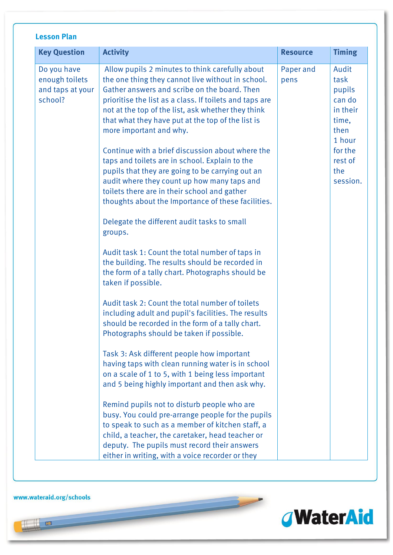| <b>Lesson Plan</b>                                           |                                                                                                                                                                                                                                                                                                                                                                                                                                                                                                                                                                                                                                                                                                                                                                                                                                                                                                                                                                                                                                                                                                                                                                                                                                                                                                                                                                                                                                                                                                                                                                                                                                                    |                   |                                                                                                                   |
|--------------------------------------------------------------|----------------------------------------------------------------------------------------------------------------------------------------------------------------------------------------------------------------------------------------------------------------------------------------------------------------------------------------------------------------------------------------------------------------------------------------------------------------------------------------------------------------------------------------------------------------------------------------------------------------------------------------------------------------------------------------------------------------------------------------------------------------------------------------------------------------------------------------------------------------------------------------------------------------------------------------------------------------------------------------------------------------------------------------------------------------------------------------------------------------------------------------------------------------------------------------------------------------------------------------------------------------------------------------------------------------------------------------------------------------------------------------------------------------------------------------------------------------------------------------------------------------------------------------------------------------------------------------------------------------------------------------------------|-------------------|-------------------------------------------------------------------------------------------------------------------|
| <b>Key Question</b>                                          | <b>Activity</b>                                                                                                                                                                                                                                                                                                                                                                                                                                                                                                                                                                                                                                                                                                                                                                                                                                                                                                                                                                                                                                                                                                                                                                                                                                                                                                                                                                                                                                                                                                                                                                                                                                    | <b>Resource</b>   | <b>Timing</b>                                                                                                     |
| Do you have<br>enough toilets<br>and taps at your<br>school? | Allow pupils 2 minutes to think carefully about<br>the one thing they cannot live without in school.<br>Gather answers and scribe on the board. Then<br>prioritise the list as a class. If toilets and taps are<br>not at the top of the list, ask whether they think<br>that what they have put at the top of the list is<br>more important and why.<br>Continue with a brief discussion about where the<br>taps and toilets are in school. Explain to the<br>pupils that they are going to be carrying out an<br>audit where they count up how many taps and<br>toilets there are in their school and gather<br>thoughts about the Importance of these facilities.<br>Delegate the different audit tasks to small<br>groups.<br>Audit task 1: Count the total number of taps in<br>the building. The results should be recorded in<br>the form of a tally chart. Photographs should be<br>taken if possible.<br>Audit task 2: Count the total number of toilets<br>including adult and pupil's facilities. The results<br>should be recorded in the form of a tally chart.<br>Photographs should be taken if possible.<br>Task 3: Ask different people how important<br>having taps with clean running water is in school<br>on a scale of 1 to 5, with 1 being less important<br>and 5 being highly important and then ask why.<br>Remind pupils not to disturb people who are<br>busy. You could pre-arrange people for the pupils<br>to speak to such as a member of kitchen staff, a<br>child, a teacher, the caretaker, head teacher or<br>deputy. The pupils must record their answers<br>either in writing, with a voice recorder or they | Paper and<br>pens | Audit<br>task<br>pupils<br>can do<br>in their<br>time,<br>then<br>1 hour<br>for the<br>rest of<br>the<br>session. |

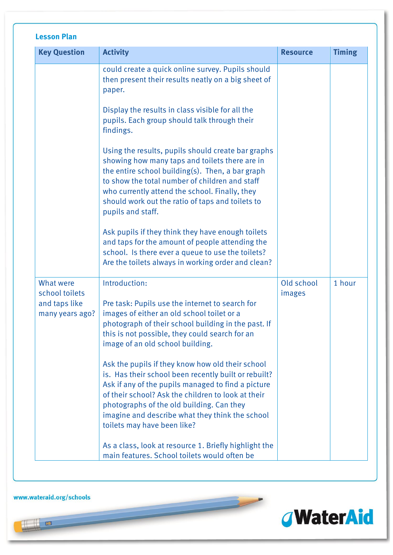|                                                                                                                                                                                                                                                                                                                                                                                                                                                                                                                                                                                                                                                                                                                                                     | <b>Resource</b>                                                                                                                                                                                                                                                                                                                                  | <b>Timing</b> |
|-----------------------------------------------------------------------------------------------------------------------------------------------------------------------------------------------------------------------------------------------------------------------------------------------------------------------------------------------------------------------------------------------------------------------------------------------------------------------------------------------------------------------------------------------------------------------------------------------------------------------------------------------------------------------------------------------------------------------------------------------------|--------------------------------------------------------------------------------------------------------------------------------------------------------------------------------------------------------------------------------------------------------------------------------------------------------------------------------------------------|---------------|
| could create a quick online survey. Pupils should<br>then present their results neatly on a big sheet of<br>Display the results in class visible for all the<br>pupils. Each group should talk through their<br>Using the results, pupils should create bar graphs<br>showing how many taps and toilets there are in<br>the entire school building(s). Then, a bar graph<br>to show the total number of children and staff<br>who currently attend the school. Finally, they<br>should work out the ratio of taps and toilets to<br>Ask pupils if they think they have enough toilets<br>and taps for the amount of people attending the<br>school. Is there ever a queue to use the toilets?<br>Are the toilets always in working order and clean? |                                                                                                                                                                                                                                                                                                                                                  |               |
| Pre task: Pupils use the internet to search for<br>images of either an old school toilet or a<br>photograph of their school building in the past. If<br>this is not possible, they could search for an<br>image of an old school building.<br>Ask the pupils if they know how old their school<br>is. Has their school been recently built or rebuilt?                                                                                                                                                                                                                                                                                                                                                                                              | Old school<br>images                                                                                                                                                                                                                                                                                                                             | 1 hour        |
|                                                                                                                                                                                                                                                                                                                                                                                                                                                                                                                                                                                                                                                                                                                                                     | Ask if any of the pupils managed to find a picture<br>of their school? Ask the children to look at their<br>photographs of the old building. Can they<br>imagine and describe what they think the school<br>toilets may have been like?<br>As a class, look at resource 1. Briefly highlight the<br>main features. School toilets would often be |               |

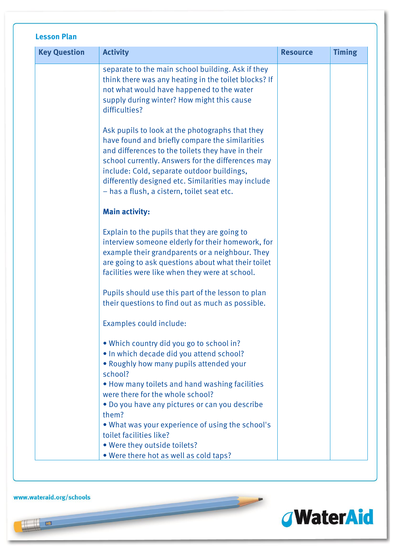| <b>Key Question</b> | <b>Activity</b>                                                                                                                                                                                                                                                                                                                                                | <b>Resource</b> | <b>Timing</b> |
|---------------------|----------------------------------------------------------------------------------------------------------------------------------------------------------------------------------------------------------------------------------------------------------------------------------------------------------------------------------------------------------------|-----------------|---------------|
|                     | separate to the main school building. Ask if they<br>think there was any heating in the toilet blocks? If<br>not what would have happened to the water<br>supply during winter? How might this cause<br>difficulties?                                                                                                                                          |                 |               |
|                     | Ask pupils to look at the photographs that they<br>have found and briefly compare the similarities<br>and differences to the toilets they have in their<br>school currently. Answers for the differences may<br>include: Cold, separate outdoor buildings,<br>differently designed etc. Similarities may include<br>- has a flush, a cistern, toilet seat etc. |                 |               |
|                     | <b>Main activity:</b>                                                                                                                                                                                                                                                                                                                                          |                 |               |
|                     | Explain to the pupils that they are going to<br>interview someone elderly for their homework, for<br>example their grandparents or a neighbour. They<br>are going to ask questions about what their toilet<br>facilities were like when they were at school.                                                                                                   |                 |               |
|                     | Pupils should use this part of the lesson to plan<br>their questions to find out as much as possible.                                                                                                                                                                                                                                                          |                 |               |
|                     | Examples could include:                                                                                                                                                                                                                                                                                                                                        |                 |               |
|                     | • Which country did you go to school in?<br>. In which decade did you attend school?<br>• Roughly how many pupils attended your<br>school?                                                                                                                                                                                                                     |                 |               |
|                     | • How many toilets and hand washing facilities<br>were there for the whole school?<br>. Do you have any pictures or can you describe                                                                                                                                                                                                                           |                 |               |
|                     | them?<br>• What was your experience of using the school's<br>toilet facilities like?                                                                                                                                                                                                                                                                           |                 |               |
|                     | . Were they outside toilets?<br>. Were there hot as well as cold taps?                                                                                                                                                                                                                                                                                         |                 |               |

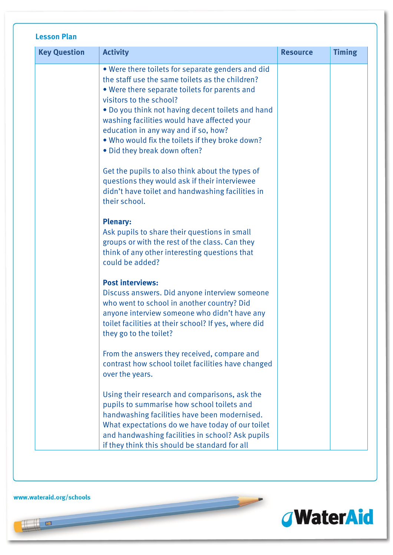| <b>Key Question</b> | <b>Activity</b>                                                                                                                                                                                                                                                                                                                                                                                                 | <b>Resource</b> | <b>Timing</b> |
|---------------------|-----------------------------------------------------------------------------------------------------------------------------------------------------------------------------------------------------------------------------------------------------------------------------------------------------------------------------------------------------------------------------------------------------------------|-----------------|---------------|
|                     | . Were there toilets for separate genders and did<br>the staff use the same toilets as the children?<br>. Were there separate toilets for parents and<br>visitors to the school?<br>. Do you think not having decent toilets and hand<br>washing facilities would have affected your<br>education in any way and if so, how?<br>. Who would fix the toilets if they broke down?<br>• Did they break down often? |                 |               |
|                     | Get the pupils to also think about the types of<br>questions they would ask if their interviewee<br>didn't have toilet and handwashing facilities in<br>their school.                                                                                                                                                                                                                                           |                 |               |
|                     | <b>Plenary:</b><br>Ask pupils to share their questions in small<br>groups or with the rest of the class. Can they<br>think of any other interesting questions that<br>could be added?                                                                                                                                                                                                                           |                 |               |
|                     | <b>Post interviews:</b><br>Discuss answers. Did anyone interview someone<br>who went to school in another country? Did<br>anyone interview someone who didn't have any<br>toilet facilities at their school? If yes, where did<br>they go to the toilet?                                                                                                                                                        |                 |               |
|                     | From the answers they received, compare and<br>contrast how school toilet facilities have changed<br>over the years.                                                                                                                                                                                                                                                                                            |                 |               |
|                     | Using their research and comparisons, ask the<br>pupils to summarise how school toilets and<br>handwashing facilities have been modernised.<br>What expectations do we have today of our toilet<br>and handwashing facilities in school? Ask pupils<br>if they think this should be standard for all                                                                                                            |                 |               |

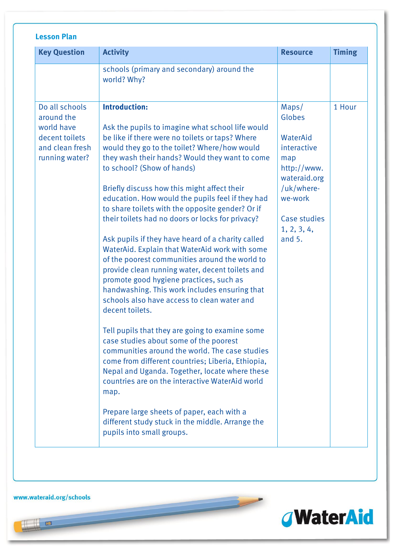| <b>Key Question</b>                                                                               | <b>Activity</b>                                                                                                                                                                                                                                                                                                                                                                                                                                                                                                                                                                                                                                                                                                                                                                                                                                                                                                                                                                                                                                                                                                                                                                                                                                                                                  | <b>Resource</b>                                                                                                                                      | <b>Timing</b> |
|---------------------------------------------------------------------------------------------------|--------------------------------------------------------------------------------------------------------------------------------------------------------------------------------------------------------------------------------------------------------------------------------------------------------------------------------------------------------------------------------------------------------------------------------------------------------------------------------------------------------------------------------------------------------------------------------------------------------------------------------------------------------------------------------------------------------------------------------------------------------------------------------------------------------------------------------------------------------------------------------------------------------------------------------------------------------------------------------------------------------------------------------------------------------------------------------------------------------------------------------------------------------------------------------------------------------------------------------------------------------------------------------------------------|------------------------------------------------------------------------------------------------------------------------------------------------------|---------------|
|                                                                                                   | schools (primary and secondary) around the<br>world? Why?                                                                                                                                                                                                                                                                                                                                                                                                                                                                                                                                                                                                                                                                                                                                                                                                                                                                                                                                                                                                                                                                                                                                                                                                                                        |                                                                                                                                                      |               |
| Do all schools<br>around the<br>world have<br>decent toilets<br>and clean fresh<br>running water? | <b>Introduction:</b><br>Ask the pupils to imagine what school life would<br>be like if there were no toilets or taps? Where<br>would they go to the toilet? Where/how would<br>they wash their hands? Would they want to come<br>to school? (Show of hands)<br>Briefly discuss how this might affect their<br>education. How would the pupils feel if they had<br>to share toilets with the opposite gender? Or if<br>their toilets had no doors or locks for privacy?<br>Ask pupils if they have heard of a charity called<br>WaterAid. Explain that WaterAid work with some<br>of the poorest communities around the world to<br>provide clean running water, decent toilets and<br>promote good hygiene practices, such as<br>handwashing. This work includes ensuring that<br>schools also have access to clean water and<br>decent toilets.<br>Tell pupils that they are going to examine some<br>case studies about some of the poorest<br>communities around the world. The case studies<br>come from different countries; Liberia, Ethiopia,<br>Nepal and Uganda. Together, locate where these<br>countries are on the interactive WaterAid world<br>map.<br>Prepare large sheets of paper, each with a<br>different study stuck in the middle. Arrange the<br>pupils into small groups. | Maps/<br>Globes<br>WaterAid<br>interactive<br>map<br>http://www.<br>wateraid.org<br>/uk/where-<br>we-work<br>Case studies<br>1, 2, 3, 4,<br>and $5.$ | 1 Hour        |

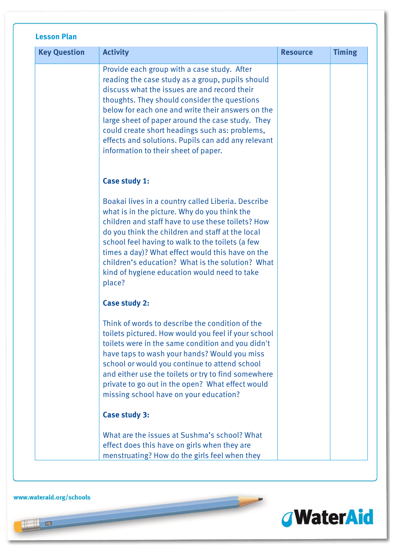| <b>Key Question</b> | <b>Activity</b>                                                                                                                                                                                                                                                                                                                                                                                                                                          | <b>Resource</b> | <b>Timing</b> |
|---------------------|----------------------------------------------------------------------------------------------------------------------------------------------------------------------------------------------------------------------------------------------------------------------------------------------------------------------------------------------------------------------------------------------------------------------------------------------------------|-----------------|---------------|
|                     | Provide each group with a case study. After<br>reading the case study as a group, pupils should<br>discuss what the issues are and record their<br>thoughts. They should consider the questions<br>below for each one and write their answers on the<br>large sheet of paper around the case study. They<br>could create short headings such as: problems,<br>effects and solutions. Pupils can add any relevant<br>information to their sheet of paper. |                 |               |
|                     | Case study 1:                                                                                                                                                                                                                                                                                                                                                                                                                                            |                 |               |
|                     | Boakai lives in a country called Liberia. Describe<br>what is in the picture. Why do you think the<br>children and staff have to use these toilets? How<br>do you think the children and staff at the local<br>school feel having to walk to the toilets (a few<br>times a day)? What effect would this have on the<br>children's education? What is the solution? What<br>kind of hygiene education would need to take<br>place?                        |                 |               |
|                     | <b>Case study 2:</b>                                                                                                                                                                                                                                                                                                                                                                                                                                     |                 |               |
|                     | Think of words to describe the condition of the<br>toilets pictured. How would you feel if your school<br>toilets were in the same condition and you didn't<br>have taps to wash your hands? Would you miss<br>school or would you continue to attend school<br>and either use the toilets or try to find somewhere<br>private to go out in the open? What effect would<br>missing school have on your education?                                        |                 |               |
|                     | <b>Case study 3:</b>                                                                                                                                                                                                                                                                                                                                                                                                                                     |                 |               |
|                     | What are the issues at Sushma's school? What<br>effect does this have on girls when they are<br>menstruating? How do the girls feel when they                                                                                                                                                                                                                                                                                                            |                 |               |

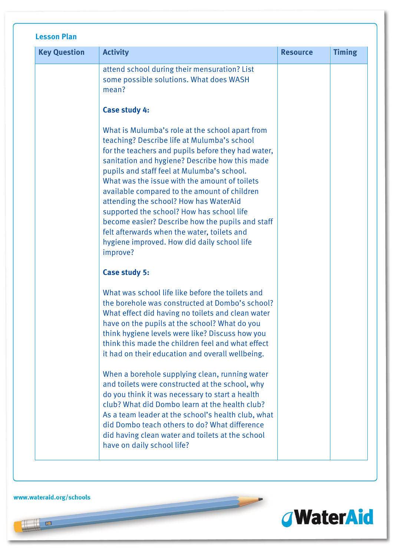| <b>Key Question</b> | <b>Activity</b>                                                                                                                                                                                                                                                                                                                                                                                                                                                                                                                                                                                            | <b>Resource</b> | <b>Timing</b> |
|---------------------|------------------------------------------------------------------------------------------------------------------------------------------------------------------------------------------------------------------------------------------------------------------------------------------------------------------------------------------------------------------------------------------------------------------------------------------------------------------------------------------------------------------------------------------------------------------------------------------------------------|-----------------|---------------|
|                     | attend school during their mensuration? List<br>some possible solutions. What does WASH<br>mean?                                                                                                                                                                                                                                                                                                                                                                                                                                                                                                           |                 |               |
|                     | Case study 4:                                                                                                                                                                                                                                                                                                                                                                                                                                                                                                                                                                                              |                 |               |
|                     | What is Mulumba's role at the school apart from<br>teaching? Describe life at Mulumba's school<br>for the teachers and pupils before they had water,<br>sanitation and hygiene? Describe how this made<br>pupils and staff feel at Mulumba's school.<br>What was the issue with the amount of toilets<br>available compared to the amount of children<br>attending the school? How has WaterAid<br>supported the school? How has school life<br>become easier? Describe how the pupils and staff<br>felt afterwards when the water, toilets and<br>hygiene improved. How did daily school life<br>improve? |                 |               |
|                     | <b>Case study 5:</b>                                                                                                                                                                                                                                                                                                                                                                                                                                                                                                                                                                                       |                 |               |
|                     | What was school life like before the toilets and<br>the borehole was constructed at Dombo's school?<br>What effect did having no toilets and clean water<br>have on the pupils at the school? What do you<br>think hygiene levels were like? Discuss how you<br>think this made the children feel and what effect<br>it had on their education and overall wellbeing.                                                                                                                                                                                                                                      |                 |               |
|                     | When a borehole supplying clean, running water<br>and toilets were constructed at the school, why<br>do you think it was necessary to start a health<br>club? What did Dombo learn at the health club?<br>As a team leader at the school's health club, what<br>did Dombo teach others to do? What difference<br>did having clean water and toilets at the school<br>have on daily school life?                                                                                                                                                                                                            |                 |               |

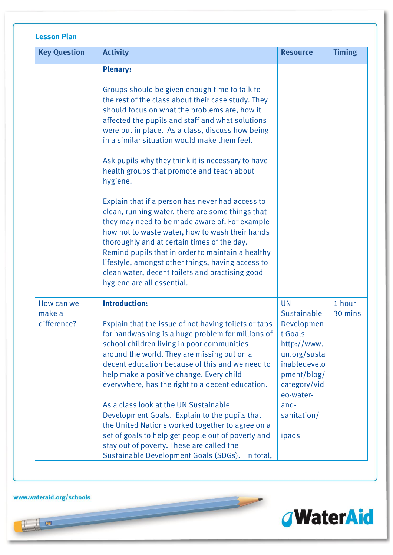| <b>Key Question</b>                 | <b>Activity</b>                                                                                                                                                                                                                                                                                                                                                                                                                                     | <b>Resource</b>                                                                                                                              | <b>Timing</b>     |
|-------------------------------------|-----------------------------------------------------------------------------------------------------------------------------------------------------------------------------------------------------------------------------------------------------------------------------------------------------------------------------------------------------------------------------------------------------------------------------------------------------|----------------------------------------------------------------------------------------------------------------------------------------------|-------------------|
|                                     | <b>Plenary:</b>                                                                                                                                                                                                                                                                                                                                                                                                                                     |                                                                                                                                              |                   |
|                                     | Groups should be given enough time to talk to<br>the rest of the class about their case study. They<br>should focus on what the problems are, how it<br>affected the pupils and staff and what solutions<br>were put in place. As a class, discuss how being<br>in a similar situation would make them feel.                                                                                                                                        |                                                                                                                                              |                   |
|                                     | Ask pupils why they think it is necessary to have<br>health groups that promote and teach about<br>hygiene.                                                                                                                                                                                                                                                                                                                                         |                                                                                                                                              |                   |
|                                     | Explain that if a person has never had access to<br>clean, running water, there are some things that<br>they may need to be made aware of. For example<br>how not to waste water, how to wash their hands<br>thoroughly and at certain times of the day.<br>Remind pupils that in order to maintain a healthy<br>lifestyle, amongst other things, having access to<br>clean water, decent toilets and practising good<br>hygiene are all essential. |                                                                                                                                              |                   |
| How can we<br>make a<br>difference? | <b>Introduction:</b><br>Explain that the issue of not having toilets or taps<br>for handwashing is a huge problem for millions of<br>school children living in poor communities<br>around the world. They are missing out on a<br>decent education because of this and we need to<br>help make a positive change. Every child<br>everywhere, has the right to a decent education.                                                                   | <b>UN</b><br>Sustainable<br>Developmen<br>t Goals<br>http://www.<br>un.org/susta<br>inabledevelo<br>pment/blog/<br>category/vid<br>eo-water- | 1 hour<br>30 mins |
|                                     | As a class look at the UN Sustainable<br>Development Goals. Explain to the pupils that<br>the United Nations worked together to agree on a<br>set of goals to help get people out of poverty and<br>stay out of poverty. These are called the<br>Sustainable Development Goals (SDGs). In total,                                                                                                                                                    | and-<br>sanitation/<br>ipads                                                                                                                 |                   |

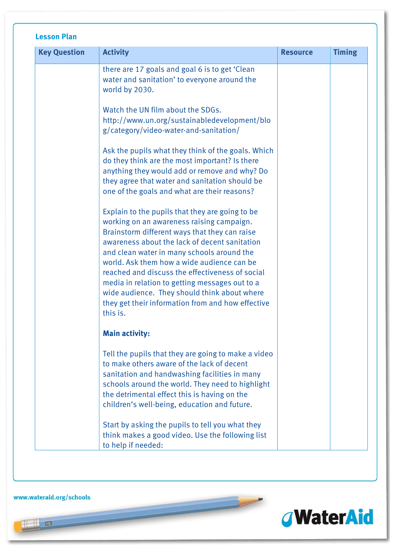| <b>Key Question</b> | <b>Activity</b>                                                                                                                                                                                                                                                                                                                                                                                                                                                                                                  | <b>Resource</b> | <b>Timing</b> |
|---------------------|------------------------------------------------------------------------------------------------------------------------------------------------------------------------------------------------------------------------------------------------------------------------------------------------------------------------------------------------------------------------------------------------------------------------------------------------------------------------------------------------------------------|-----------------|---------------|
|                     | there are 17 goals and goal 6 is to get 'Clean<br>water and sanitation' to everyone around the<br>world by 2030.                                                                                                                                                                                                                                                                                                                                                                                                 |                 |               |
|                     | Watch the UN film about the SDGs.<br>http://www.un.org/sustainabledevelopment/blo<br>g/category/video-water-and-sanitation/                                                                                                                                                                                                                                                                                                                                                                                      |                 |               |
|                     | Ask the pupils what they think of the goals. Which<br>do they think are the most important? Is there<br>anything they would add or remove and why? Do<br>they agree that water and sanitation should be<br>one of the goals and what are their reasons?                                                                                                                                                                                                                                                          |                 |               |
|                     | Explain to the pupils that they are going to be<br>working on an awareness raising campaign.<br>Brainstorm different ways that they can raise<br>awareness about the lack of decent sanitation<br>and clean water in many schools around the<br>world. Ask them how a wide audience can be<br>reached and discuss the effectiveness of social<br>media in relation to getting messages out to a<br>wide audience. They should think about where<br>they get their information from and how effective<br>this is. |                 |               |
|                     | <b>Main activity:</b>                                                                                                                                                                                                                                                                                                                                                                                                                                                                                            |                 |               |
|                     | Tell the pupils that they are going to make a video<br>to make others aware of the lack of decent<br>sanitation and handwashing facilities in many<br>schools around the world. They need to highlight<br>the detrimental effect this is having on the<br>children's well-being, education and future.                                                                                                                                                                                                           |                 |               |
|                     | Start by asking the pupils to tell you what they<br>think makes a good video. Use the following list<br>to help if needed:                                                                                                                                                                                                                                                                                                                                                                                       |                 |               |

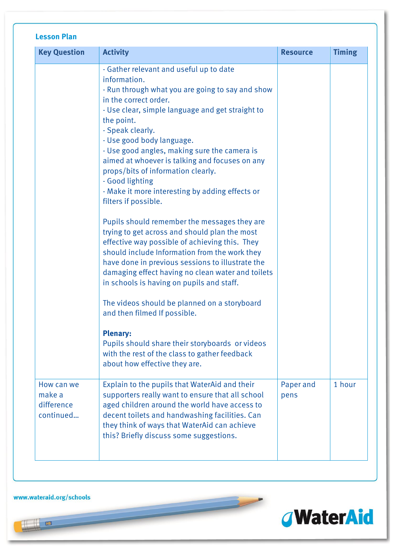| <b>Lesson Plan</b>                              |                                                                                                                                                                                                                                                                                                                                                                                                                                                                                                                                                                                                                                                                                                                                                                                                                                                                                                                                                                                                                                                                                                 |                   |               |
|-------------------------------------------------|-------------------------------------------------------------------------------------------------------------------------------------------------------------------------------------------------------------------------------------------------------------------------------------------------------------------------------------------------------------------------------------------------------------------------------------------------------------------------------------------------------------------------------------------------------------------------------------------------------------------------------------------------------------------------------------------------------------------------------------------------------------------------------------------------------------------------------------------------------------------------------------------------------------------------------------------------------------------------------------------------------------------------------------------------------------------------------------------------|-------------------|---------------|
| <b>Key Question</b>                             | <b>Activity</b>                                                                                                                                                                                                                                                                                                                                                                                                                                                                                                                                                                                                                                                                                                                                                                                                                                                                                                                                                                                                                                                                                 | <b>Resource</b>   | <b>Timing</b> |
|                                                 | - Gather relevant and useful up to date<br>information.<br>- Run through what you are going to say and show<br>in the correct order.<br>- Use clear, simple language and get straight to<br>the point.<br>- Speak clearly.<br>- Use good body language.<br>- Use good angles, making sure the camera is<br>aimed at whoever is talking and focuses on any<br>props/bits of information clearly.<br>- Good lighting<br>- Make it more interesting by adding effects or<br>filters if possible.<br>Pupils should remember the messages they are<br>trying to get across and should plan the most<br>effective way possible of achieving this. They<br>should include Information from the work they<br>have done in previous sessions to illustrate the<br>damaging effect having no clean water and toilets<br>in schools is having on pupils and staff.<br>The videos should be planned on a storyboard<br>and then filmed If possible.<br><b>Plenary:</b><br>Pupils should share their storyboards or videos<br>with the rest of the class to gather feedback<br>about how effective they are. |                   |               |
| How can we<br>make a<br>difference<br>continued | Explain to the pupils that WaterAid and their<br>supporters really want to ensure that all school<br>aged children around the world have access to<br>decent toilets and handwashing facilities. Can<br>they think of ways that WaterAid can achieve<br>this? Briefly discuss some suggestions.                                                                                                                                                                                                                                                                                                                                                                                                                                                                                                                                                                                                                                                                                                                                                                                                 | Paper and<br>pens | 1 hour        |

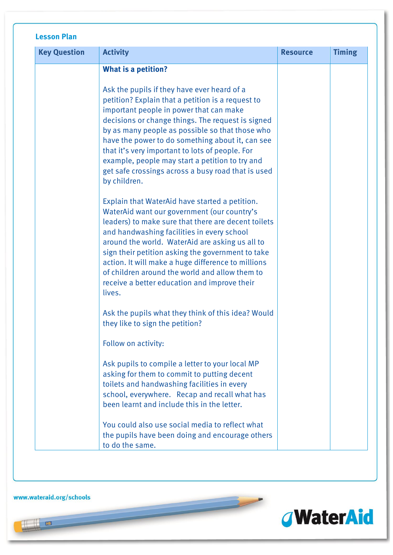| <b>Key Question</b> | <b>Activity</b>                                                                                                                                                                                                                                                                                                                                                                                                                                                                     | <b>Resource</b> | <b>Timing</b> |
|---------------------|-------------------------------------------------------------------------------------------------------------------------------------------------------------------------------------------------------------------------------------------------------------------------------------------------------------------------------------------------------------------------------------------------------------------------------------------------------------------------------------|-----------------|---------------|
|                     | <b>What is a petition?</b>                                                                                                                                                                                                                                                                                                                                                                                                                                                          |                 |               |
|                     | Ask the pupils if they have ever heard of a<br>petition? Explain that a petition is a request to<br>important people in power that can make<br>decisions or change things. The request is signed<br>by as many people as possible so that those who<br>have the power to do something about it, can see<br>that it's very important to lots of people. For<br>example, people may start a petition to try and<br>get safe crossings across a busy road that is used<br>by children. |                 |               |
|                     | Explain that WaterAid have started a petition.<br>WaterAid want our government (our country's<br>leaders) to make sure that there are decent toilets<br>and handwashing facilities in every school<br>around the world. WaterAid are asking us all to<br>sign their petition asking the government to take<br>action. It will make a huge difference to millions<br>of children around the world and allow them to<br>receive a better education and improve their<br>lives.        |                 |               |
|                     | Ask the pupils what they think of this idea? Would<br>they like to sign the petition?                                                                                                                                                                                                                                                                                                                                                                                               |                 |               |
|                     | Follow on activity:                                                                                                                                                                                                                                                                                                                                                                                                                                                                 |                 |               |
|                     | Ask pupils to compile a letter to your local MP<br>asking for them to commit to putting decent<br>toilets and handwashing facilities in every<br>school, everywhere. Recap and recall what has<br>been learnt and include this in the letter.                                                                                                                                                                                                                                       |                 |               |
|                     | You could also use social media to reflect what<br>the pupils have been doing and encourage others<br>to do the same.                                                                                                                                                                                                                                                                                                                                                               |                 |               |

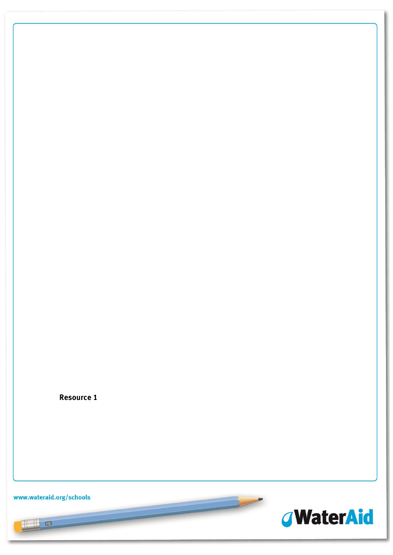**Resource 1**

www.wateraid.org/schools



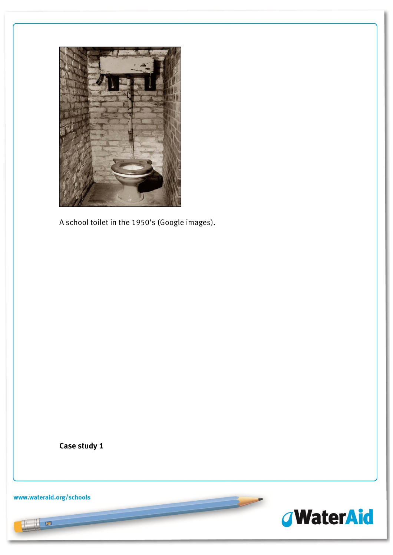

A school toilet in the 1950's (Google images).

**Case study 1**

www.wateraid.org/schools



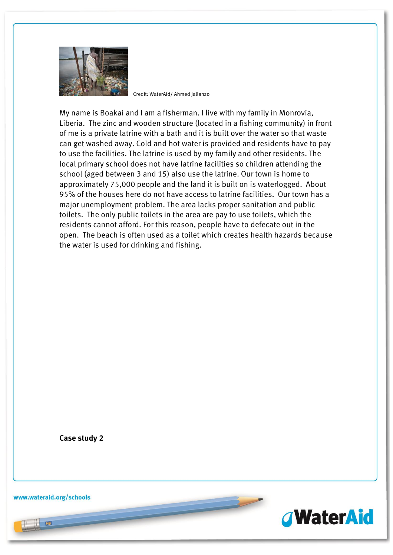

Credit: WaterAid/ Ahmed Jallanzo

My name is Boakai and I am a fisherman. I live with my family in Monrovia, Liberia. The zinc and wooden structure (located in a fishing community) in front of me is a private latrine with a bath and it is built over the water so that waste can get washed away. Cold and hot water is provided and residents have to pay to use the facilities. The latrine is used by my family and other residents. The local primary school does not have latrine facilities so children attending the school (aged between 3 and 15) also use the latrine. Our town is home to approximately 75,000 people and the land it is built on is waterlogged. About 95% of the houses here do not have access to latrine facilities. Our town has a major unemployment problem. The area lacks proper sanitation and public toilets. The only public toilets in the area are pay to use toilets, which the residents cannot afford. For this reason, people have to defecate out in the open. The beach is often used as a toilet which creates health hazards because the water is used for drinking and fishing.

**Case study 2**

www.wateraid.org/schools

HB

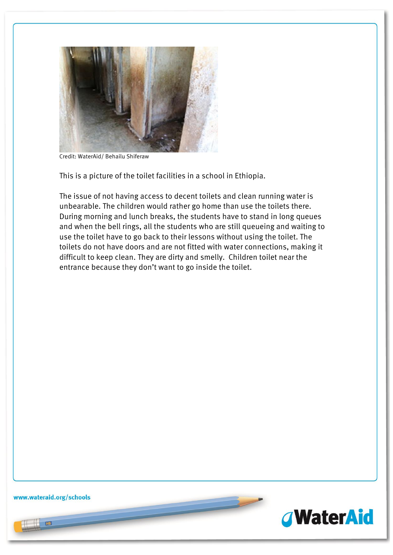

Credit: WaterAid/ Behailu Shiferaw

This is a picture of the toilet facilities in a school in Ethiopia.

The issue of not having access to decent toilets and clean running water is unbearable. The children would rather go home than use the toilets there. During morning and lunch breaks, the students have to stand in long queues and when the bell rings, all the students who are still queueing and waiting to use the toilet have to go back to their lessons without using the toilet. The toilets do not have doors and are not fitted with water connections, making it difficult to keep clean. They are dirty and smelly. Children toilet near the entrance because they don't want to go inside the toilet.

www.wateraid.org/schools

HB

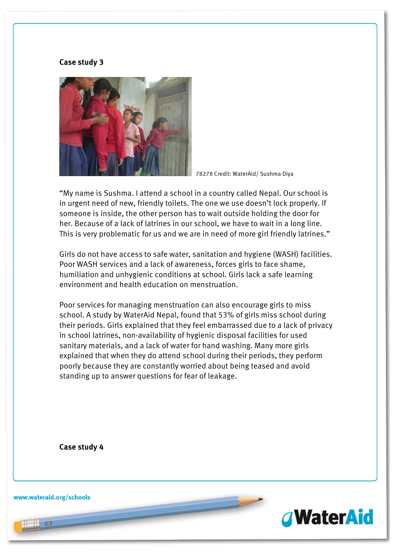#### **Case study 3**



78278 Credit: WaterAid/ Sushma Diya

"My name is Sushma. I attend a school in a country called Nepal. Our school is in urgent need of new, friendly toilets. The one we use doesn't lock properly. If someone is inside, the other person has to wait outside holding the door for her. Because of a lack of latrines in our school, we have to wait in a long line. This is very problematic for us and we are in need of more girl friendly latrines."

Girls do not have access to safe water, sanitation and hygiene (WASH) facilities. Poor WASH services and a lack of awareness, forces girls to face shame, humiliation and unhygienic conditions at school. Girls lack a safe learning environment and health education on menstruation.

Poor services for managing menstruation can also encourage girls to miss school. A study by WaterAid Nepal, found that 53% of girls miss school during their periods. Girls explained that they feel embarrassed due to a lack of privacy in school latrines, non-availability of hygienic disposal facilities for used sanitary materials, and a lack of water for hand washing. Many more girls explained that when they do attend school during their periods, they perform poorly because they are constantly worried about being teased and avoid standing up to answer questions for fear of leakage.

**Case study 4** 

www.wateraid.org/schools

 $\left| \right|$  HB

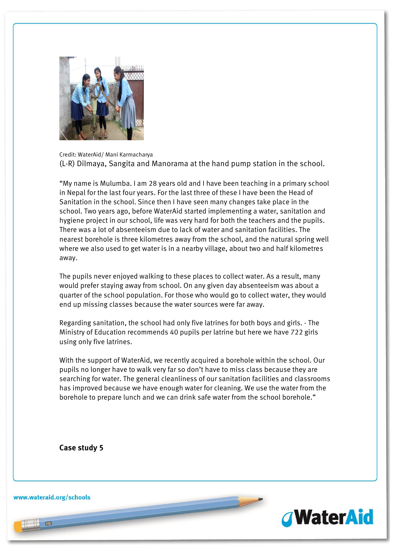

Credit: WaterAid/ Mani Karmacharya (L-R) Dilmaya, Sangita and Manorama at the hand pump station in the school.

"My name is Mulumba. I am 28 years old and I have been teaching in a primary school in Nepal for the last four years. For the last three of these I have been the Head of Sanitation in the school. Since then I have seen many changes take place in the school. Two years ago, before WaterAid started implementing a water, sanitation and hygiene project in our school, life was very hard for both the teachers and the pupils. There was a lot of absenteeism due to lack of water and sanitation facilities. The nearest borehole is three kilometres away from the school, and the natural spring well where we also used to get water is in a nearby village, about two and half kilometres away.

The pupils never enjoyed walking to these places to collect water. As a result, many would prefer staying away from school. On any given day absenteeism was about a quarter of the school population. For those who would go to collect water, they would end up missing classes because the water sources were far away.

Regarding sanitation, the school had only five latrines for both boys and girls. - The Ministry of Education recommends 40 pupils per latrine but here we have 722 girls using only five latrines.

With the support of WaterAid, we recently acquired a borehole within the school. Our pupils no longer have to walk very far so don't have to miss class because they are searching for water. The general cleanliness of our sanitation facilities and classrooms has improved because we have enough water for cleaning. We use the water from the borehole to prepare lunch and we can drink safe water from the school borehole."

**Case study 5**

www.wateraid.org/schools

HB